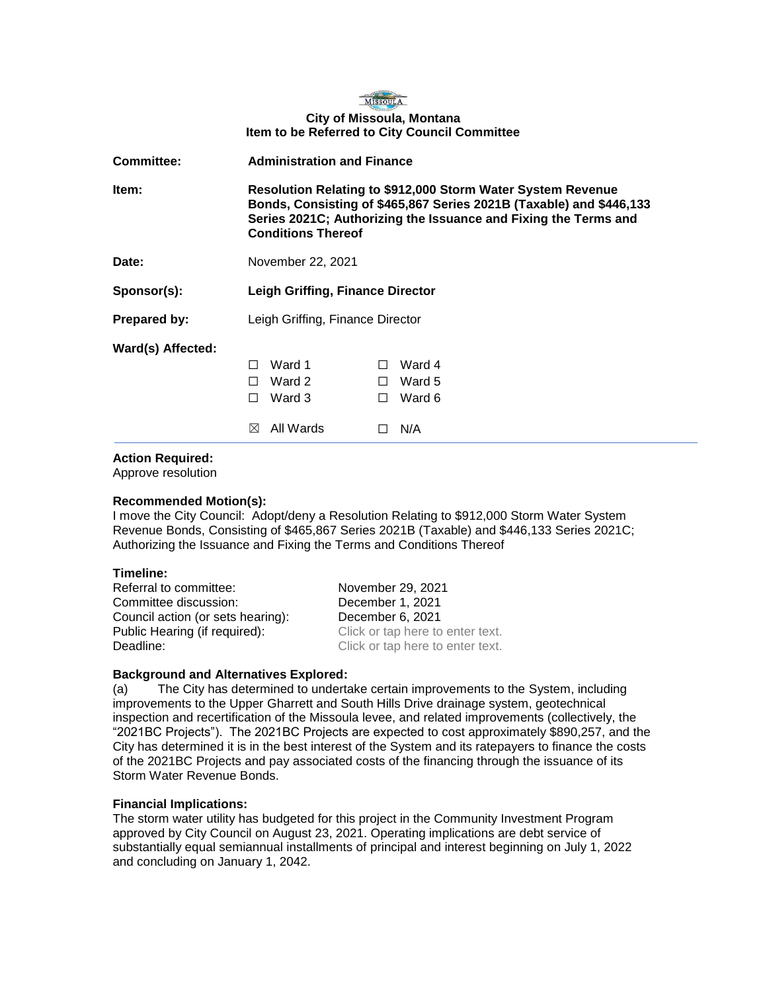

# **City of Missoula, Montana Item to be Referred to City Council Committee**

| <b>Committee:</b>   | <b>Administration and Finance</b>                                                                                                                                                                                                         |                                         |                         |                                   |
|---------------------|-------------------------------------------------------------------------------------------------------------------------------------------------------------------------------------------------------------------------------------------|-----------------------------------------|-------------------------|-----------------------------------|
| ltem:               | <b>Resolution Relating to \$912,000 Storm Water System Revenue</b><br>Bonds, Consisting of \$465,867 Series 2021B (Taxable) and \$446,133<br>Series 2021C; Authorizing the Issuance and Fixing the Terms and<br><b>Conditions Thereof</b> |                                         |                         |                                   |
| Date:               | November 22, 2021                                                                                                                                                                                                                         |                                         |                         |                                   |
| Sponsor(s):         | Leigh Griffing, Finance Director                                                                                                                                                                                                          |                                         |                         |                                   |
| <b>Prepared by:</b> | Leigh Griffing, Finance Director                                                                                                                                                                                                          |                                         |                         |                                   |
| Ward(s) Affected:   | П<br>П<br>П<br>$\bowtie$                                                                                                                                                                                                                  | Ward 1<br>Ward 2<br>Ward 3<br>All Wards | $\perp$<br>$\perp$<br>П | Ward 4<br>Ward 5<br>Ward 6<br>N/A |

## **Action Required:**

Approve resolution

## **Recommended Motion(s):**

I move the City Council: Adopt/deny a Resolution Relating to \$912,000 Storm Water System Revenue Bonds, Consisting of \$465,867 Series 2021B (Taxable) and \$446,133 Series 2021C; Authorizing the Issuance and Fixing the Terms and Conditions Thereof

## **Timeline:**

Referral to committee: November 29, 2021 Committee discussion: December 1, 2021 Council action (or sets hearing): December 6, 2021 Public Hearing (if required): Click or tap here to enter text. Deadline: Click or tap here to enter text.

## **Background and Alternatives Explored:**

(a) The City has determined to undertake certain improvements to the System, including improvements to the Upper Gharrett and South Hills Drive drainage system, geotechnical inspection and recertification of the Missoula levee, and related improvements (collectively, the "2021BC Projects"). The 2021BC Projects are expected to cost approximately \$890,257, and the City has determined it is in the best interest of the System and its ratepayers to finance the costs of the 2021BC Projects and pay associated costs of the financing through the issuance of its Storm Water Revenue Bonds.

## **Financial Implications:**

The storm water utility has budgeted for this project in the Community Investment Program approved by City Council on August 23, 2021. Operating implications are debt service of substantially equal semiannual installments of principal and interest beginning on July 1, 2022 and concluding on January 1, 2042.